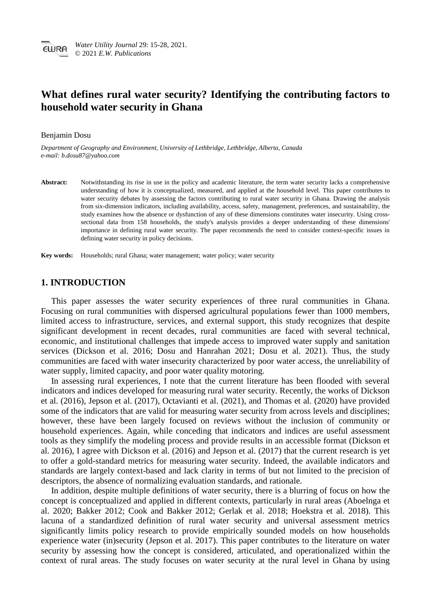# **What defines rural water security? Identifying the contributing factors to household water security in Ghana**

#### Benjamin Dosu

*Department of Geography and Environment, University of Lethbridge, Lethbridge, Alberta, Canada e-mail: b.dosu87@yahoo.com*

Abstract: Notwithstanding its rise in use in the policy and academic literature, the term water security lacks a comprehensive understanding of how it is conceptualized, measured, and applied at the household level. This paper contributes to water security debates by assessing the factors contributing to rural water security in Ghana. Drawing the analysis from six-dimension indicators, including availability, access, safety, management, preferences, and sustainability, the study examines how the absence or dysfunction of any of these dimensions constitutes water insecurity. Using crosssectional data from 158 households, the study's analysis provides a deeper understanding of these dimensions' importance in defining rural water security. The paper recommends the need to consider context-specific issues in defining water security in policy decisions.

**Key words:** Households; rural Ghana; water management; water policy; water security

# **1. INTRODUCTION**

This paper assesses the water security experiences of three rural communities in Ghana. Focusing on rural communities with dispersed agricultural populations fewer than 1000 members, limited access to infrastructure, services, and external support, this study recognizes that despite significant development in recent decades, rural communities are faced with several technical, economic, and institutional challenges that impede access to improved water supply and sanitation services (Dickson et al. 2016; Dosu and Hanrahan 2021; Dosu et al. 2021). Thus, the study communities are faced with water insecurity characterized by poor water access, the unreliability of water supply, limited capacity, and poor water quality motoring.

In assessing rural experiences, I note that the current literature has been flooded with several indicators and indices developed for measuring rural water security. Recently, the works of Dickson et al. (2016), Jepson et al. (2017), Octavianti et al. (2021), and Thomas et al. (2020) have provided some of the indicators that are valid for measuring water security from across levels and disciplines; however, these have been largely focused on reviews without the inclusion of community or household experiences. Again, while conceding that indicators and indices are useful assessment tools as they simplify the modeling process and provide results in an accessible format (Dickson et al. 2016), I agree with Dickson et al. (2016) and Jepson et al. (2017) that the current research is yet to offer a gold-standard metrics for measuring water security. Indeed, the available indicators and standards are largely context-based and lack clarity in terms of but not limited to the precision of descriptors, the absence of normalizing evaluation standards, and rationale.

In addition, despite multiple definitions of water security, there is a blurring of focus on how the concept is conceptualized and applied in different contexts, particularly in rural areas (Aboelnga et al. 2020; Bakker 2012; Cook and Bakker 2012; Gerlak et al. 2018; Hoekstra et al. 2018). This lacuna of a standardized definition of rural water security and universal assessment metrics significantly limits policy research to provide empirically sounded models on how households experience water (in)security (Jepson et al. 2017). This paper contributes to the literature on water security by assessing how the concept is considered, articulated, and operationalized within the context of rural areas. The study focuses on water security at the rural level in Ghana by using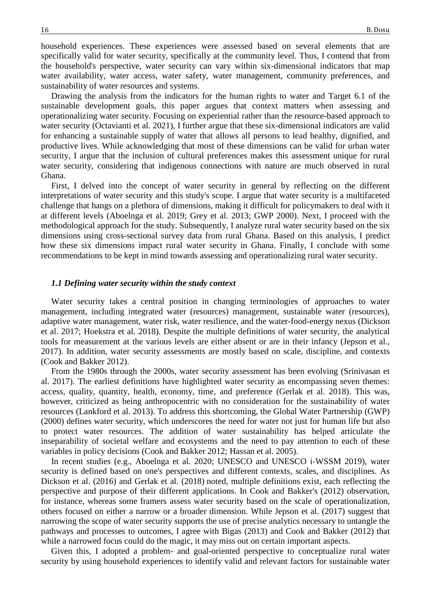household experiences. These experiences were assessed based on several elements that are specifically valid for water security, specifically at the community level. Thus, I contend that from the household's perspective, water security can vary within six-dimensional indicators that map water availability, water access, water safety, water management, community preferences, and sustainability of water resources and systems.

Drawing the analysis from the indicators for the human rights to water and Target 6.1 of the sustainable development goals, this paper argues that context matters when assessing and operationalizing water security. Focusing on experiential rather than the resource-based approach to water security (Octavianti et al. 2021), I further argue that these six-dimensional indicators are valid for enhancing a sustainable supply of water that allows all persons to lead healthy, dignified, and productive lives. While acknowledging that most of these dimensions can be valid for urban water security, I argue that the inclusion of cultural preferences makes this assessment unique for rural water security, considering that indigenous connections with nature are much observed in rural Ghana.

First, I delved into the concept of water security in general by reflecting on the different interpretations of water security and this study's scope. I argue that water security is a multifaceted challenge that hangs on a plethora of dimensions, making it difficult for policymakers to deal with it at different levels (Aboelnga et al. 2019; Grey et al. 2013; GWP 2000). Next, I proceed with the methodological approach for the study. Subsequently, I analyze rural water security based on the six dimensions using cross-sectional survey data from rural Ghana. Based on this analysis, I predict how these six dimensions impact rural water security in Ghana. Finally, I conclude with some recommendations to be kept in mind towards assessing and operationalizing rural water security.

#### *1.1 Defining water security within the study context*

Water security takes a central position in changing terminologies of approaches to water management, including integrated water (resources) management, sustainable water (resources), adaptive water management, water risk, water resilience, and the water-food-energy nexus (Dickson et al. 2017; Hoekstra et al. 2018). Despite the multiple definitions of water security, the analytical tools for measurement at the various levels are either absent or are in their infancy (Jepson et al., 2017). In addition, water security assessments are mostly based on scale, discipline, and contexts (Cook and Bakker 2012).

From the 1980s through the 2000s, water security assessment has been evolving (Srinivasan et al. 2017). The earliest definitions have highlighted water security as encompassing seven themes: access, quality, quantity, health, economy, time, and preference (Gerlak et al. 2018). This was, however, criticized as being anthropocentric with no consideration for the sustainability of water resources (Lankford et al. 2013). To address this shortcoming, the Global Water Partnership (GWP) (2000) defines water security, which underscores the need for water not just for human life but also to protect water resources. The addition of water sustainability has helped articulate the inseparability of societal welfare and ecosystems and the need to pay attention to each of these variables in policy decisions (Cook and Bakker 2012; Hassan et al. 2005).

In recent studies (e.g., Aboelnga et al. 2020; UNESCO and UNESCO i-WSSM 2019), water security is defined based on one's perspectives and different contexts, scales, and disciplines. As Dickson et al. (2016) and Gerlak et al. (2018) noted, multiple definitions exist, each reflecting the perspective and purpose of their different applications. In Cook and Bakker's (2012) observation, for instance, whereas some framers assess water security based on the scale of operationalization, others focused on either a narrow or a broader dimension. While Jepson et al. (2017) suggest that narrowing the scope of water security supports the use of precise analytics necessary to untangle the pathways and processes to outcomes, I agree with Bigas (2013) and Cook and Bakker (2012) that while a narrowed focus could do the magic, it may miss out on certain important aspects.

Given this, I adopted a problem- and goal-oriented perspective to conceptualize rural water security by using household experiences to identify valid and relevant factors for sustainable water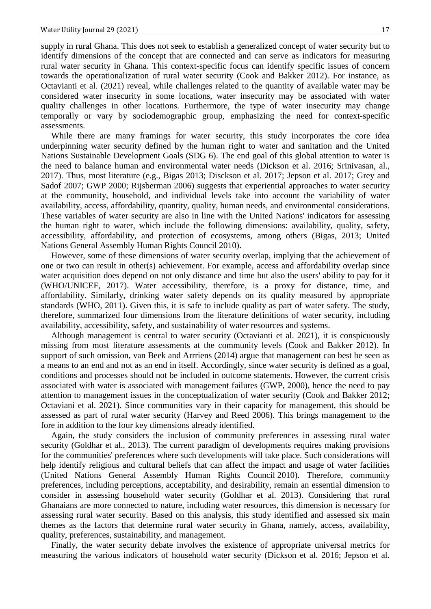supply in rural Ghana. This does not seek to establish a generalized concept of water security but to identify dimensions of the concept that are connected and can serve as indicators for measuring rural water security in Ghana. This context-specific focus can identify specific issues of concern towards the operationalization of rural water security (Cook and Bakker 2012). For instance, as Octavianti et al. (2021) reveal, while challenges related to the quantity of available water may be considered water insecurity in some locations, water insecurity may be associated with water quality challenges in other locations. Furthermore, the type of water insecurity may change temporally or vary by sociodemographic group, emphasizing the need for context-specific assessments.

While there are many framings for water security, this study incorporates the core idea underpinning water security defined by the human right to water and sanitation and the United Nations Sustainable Development Goals (SDG 6). The end goal of this global attention to water is the need to balance human and environmental water needs (Dickson et al. 2016; Srinivasan, al., 2017). Thus, most literature (e.g., Bigas 2013; Disckson et al. 2017; Jepson et al. 2017; Grey and Sadof 2007; GWP 2000; Rijsberman 2006) suggests that experiential approaches to water security at the community, household, and individual levels take into account the variability of water availability, access, affordability, quantity, quality, human needs, and environmental considerations. These variables of water security are also in line with the United Nations' indicators for assessing the human right to water, which include the following dimensions: availability, quality, safety, accessibility, affordability, and protection of ecosystems, among others (Bigas, 2013; United Nations General Assembly Human Rights Council 2010).

However, some of these dimensions of water security overlap, implying that the achievement of one or two can result in other(s) achievement. For example, access and affordability overlap since water acquisition does depend on not only distance and time but also the users' ability to pay for it (WHO/UNICEF, 2017). Water accessibility, therefore, is a proxy for distance, time, and affordability. Similarly, drinking water safety depends on its quality measured by appropriate standards (WHO, 2011). Given this, it is safe to include quality as part of water safety. The study, therefore, summarized four dimensions from the literature definitions of water security, including availability, accessibility, safety, and sustainability of water resources and systems.

Although management is central to water security (Octavianti et al. 2021), it is conspicuously missing from most literature assessments at the community levels (Cook and Bakker 2012). In support of such omission, van Beek and Arrriens (2014) argue that management can best be seen as a means to an end and not as an end in itself. Accordingly, since water security is defined as a goal, conditions and processes should not be included in outcome statements. However, the current crisis associated with water is associated with management failures (GWP, 2000), hence the need to pay attention to management issues in the conceptualization of water security (Cook and Bakker 2012; Octaviani et al. 2021). Since communities vary in their capacity for management, this should be assessed as part of rural water security (Harvey and Reed 2006). This brings management to the fore in addition to the four key dimensions already identified.

Again, the study considers the inclusion of community preferences in assessing rural water security (Goldhar et al., 2013). The current paradigm of developments requires making provisions for the communities' preferences where such developments will take place. Such considerations will help identify religious and cultural beliefs that can affect the impact and usage of water facilities (United Nations General Assembly Human Rights Council 2010). Therefore, community preferences, including perceptions, acceptability, and desirability, remain an essential dimension to consider in assessing household water security (Goldhar et al. 2013). Considering that rural Ghanaians are more connected to nature, including water resources, this dimension is necessary for assessing rural water security. Based on this analysis, this study identified and assessed six main themes as the factors that determine rural water security in Ghana, namely, access, availability, quality, preferences, sustainability, and management.

Finally, the water security debate involves the existence of appropriate universal metrics for measuring the various indicators of household water security (Dickson et al. 2016; Jepson et al.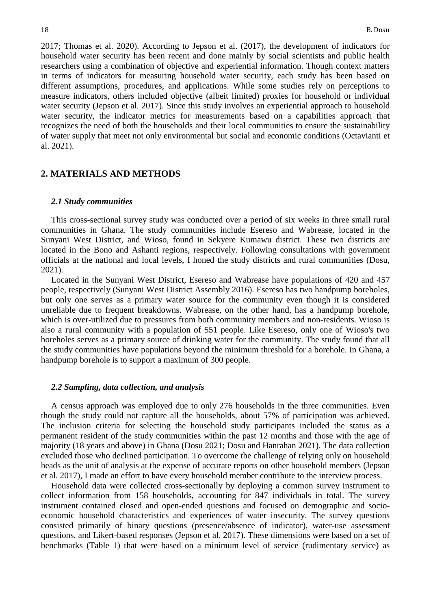2017; Thomas et al. 2020). According to Jepson et al. (2017), the development of indicators for household water security has been recent and done mainly by social scientists and public health researchers using a combination of objective and experiential information. Though context matters in terms of indicators for measuring household water security, each study has been based on different assumptions, procedures, and applications. While some studies rely on perceptions to measure indicators, others included objective (albeit limited) proxies for household or individual water security (Jepson et al. 2017). Since this study involves an experiential approach to household water security, the indicator metrics for measurements based on a capabilities approach that recognizes the need of both the households and their local communities to ensure the sustainability of water supply that meet not only environmental but social and economic conditions (Octavianti et al. 2021).

# **2. MATERIALS AND METHODS**

### *2.1 Study communities*

This cross-sectional survey study was conducted over a period of six weeks in three small rural communities in Ghana. The study communities include Esereso and Wabrease, located in the Sunyani West District, and Wioso, found in Sekyere Kumawu district. These two districts are located in the Bono and Ashanti regions, respectively. Following consultations with government officials at the national and local levels, I honed the study districts and rural communities (Dosu, 2021).

Located in the Sunyani West District, Esereso and Wabrease have populations of 420 and 457 people, respectively (Sunyani West District Assembly 2016). Esereso has two handpump boreholes, but only one serves as a primary water source for the community even though it is considered unreliable due to frequent breakdowns. Wabrease, on the other hand, has a handpump borehole, which is over-utilized due to pressures from both community members and non-residents. Wioso is also a rural community with a population of 551 people. Like Esereso, only one of Wioso's two boreholes serves as a primary source of drinking water for the community. The study found that all the study communities have populations beyond the minimum threshold for a borehole. In Ghana, a handpump borehole is to support a maximum of 300 people.

#### *2.2 Sampling, data collection, and analysis*

A census approach was employed due to only 276 households in the three communities. Even though the study could not capture all the households, about 57% of participation was achieved. The inclusion criteria for selecting the household study participants included the status as a permanent resident of the study communities within the past 12 months and those with the age of majority (18 years and above) in Ghana (Dosu 2021; Dosu and Hanrahan 2021). The data collection excluded those who declined participation. To overcome the challenge of relying only on household heads as the unit of analysis at the expense of accurate reports on other household members (Jepson et al. 2017), I made an effort to have every household member contribute to the interview process.

Household data were collected cross-sectionally by deploying a common survey instrument to collect information from 158 households, accounting for 847 individuals in total. The survey instrument contained closed and open-ended questions and focused on demographic and socioeconomic household characteristics and experiences of water insecurity. The survey questions consisted primarily of binary questions (presence/absence of indicator), water-use assessment questions, and Likert-based responses (Jepson et al. 2017). These dimensions were based on a set of benchmarks (Table 1) that were based on a minimum level of service (rudimentary service) as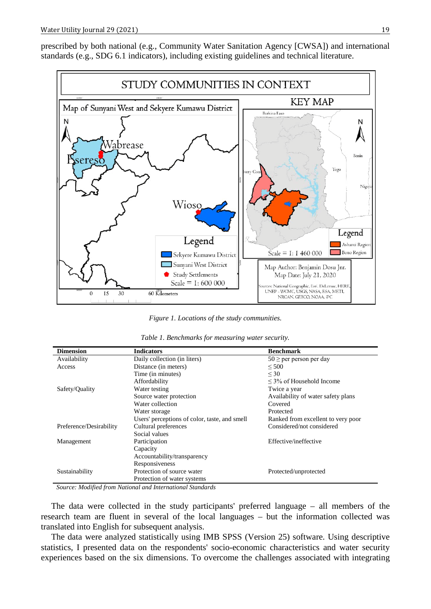prescribed by both national (e.g., Community Water Sanitation Agency [CWSA]) and international standards (e.g., SDG 6.1 indicators), including existing guidelines and technical literature.



*Figure 1. Locations of the study communities.*

|  |  |  |  | Table 1. Benchmarks for measuring water security. |
|--|--|--|--|---------------------------------------------------|
|--|--|--|--|---------------------------------------------------|

| <b>Dimension</b>        | <b>Indicators</b>                             | <b>Benchmark</b>                   |
|-------------------------|-----------------------------------------------|------------------------------------|
| Availability            | Daily collection (in liters)                  | $50 \ge$ per person per day        |
| Access                  | Distance (in meters)                          | ${}<$ 500                          |
|                         | Time (in minutes)                             | $\leq 30$                          |
|                         | Affordability                                 | $\leq$ 3% of Household Income      |
| Safety/Quality          | Water testing                                 | Twice a year                       |
|                         | Source water protection                       | Availability of water safety plans |
|                         | Water collection                              | Covered                            |
|                         | Water storage                                 | Protected                          |
|                         | Users' perceptions of color, taste, and smell | Ranked from excellent to very poor |
| Preference/Desirability | Cultural preferences                          | Considered/not considered          |
|                         | Social values                                 |                                    |
| Management              | Participation                                 | Effective/ineffective              |
|                         | Capacity                                      |                                    |
|                         | Accountability/transparency                   |                                    |
|                         | Responsiveness                                |                                    |
| Sustainability          | Protection of source water                    | Protected/unprotected              |
|                         | Protection of water systems                   |                                    |

*Source: Modified from National and International Standards*

The data were collected in the study participants' preferred language – all members of the research team are fluent in several of the local languages – but the information collected was translated into English for subsequent analysis.

The data were analyzed statistically using IMB SPSS (Version 25) software. Using descriptive statistics, I presented data on the respondents' socio-economic characteristics and water security experiences based on the six dimensions. To overcome the challenges associated with integrating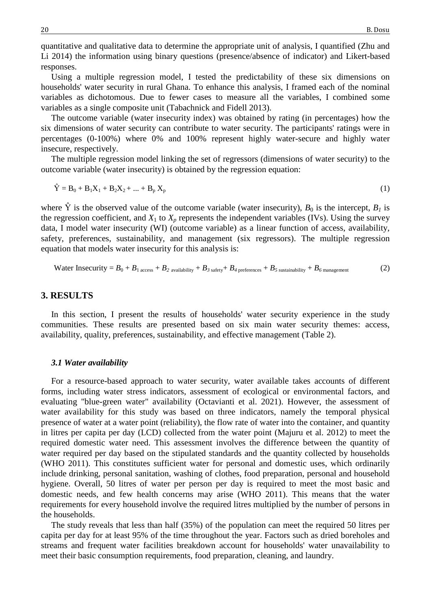quantitative and qualitative data to determine the appropriate unit of analysis, I quantified (Zhu and Li 2014) the information using binary questions (presence/absence of indicator) and Likert-based responses.

Using a multiple regression model, I tested the predictability of these six dimensions on households' water security in rural Ghana. To enhance this analysis, I framed each of the nominal variables as dichotomous. Due to fewer cases to measure all the variables, I combined some variables as a single composite unit (Tabachnick and Fidell 2013).

The outcome variable (water insecurity index) was obtained by rating (in percentages) how the six dimensions of water security can contribute to water security. The participants' ratings were in percentages (0-100%) where 0% and 100% represent highly water-secure and highly water insecure, respectively.

The multiple regression model linking the set of regressors (dimensions of water security) to the outcome variable (water insecurity) is obtained by the regression equation:

$$
\dot{Y} = B_0 + B_1 X_1 + B_2 X_2 + \dots + B_p X_p \tag{1}
$$

where  $\hat{Y}$  is the observed value of the outcome variable (water insecurity),  $B_0$  is the intercept,  $B_1$  is the regression coefficient, and  $X_1$  to  $X_p$  represents the independent variables (IVs). Using the survey data, I model water insecurity (WI) (outcome variable) as a linear function of access, availability, safety, preferences, sustainability, and management (six regressors). The multiple regression equation that models water insecurity for this analysis is:

Water Insecurity = 
$$
B_0 + B_1
$$
 access +  $B_2$  availability +  $B_3$  safety +  $B_4$  preferences +  $B_5$  sustainability +  $B_6$  management (2)

### **3. RESULTS**

In this section, I present the results of households' water security experience in the study communities. These results are presented based on six main water security themes: access, availability, quality, preferences, sustainability, and effective management (Table 2).

#### *3.1 Water availability*

For a resource-based approach to water security, water available takes accounts of different forms, including water stress indicators, assessment of ecological or environmental factors, and evaluating "blue-green water" availability (Octavianti et al. 2021). However, the assessment of water availability for this study was based on three indicators, namely the temporal physical presence of water at a water point (reliability), the flow rate of water into the container, and quantity in litres per capita per day (LCD) collected from the water point (Majuru et al. 2012) to meet the required domestic water need. This assessment involves the difference between the quantity of water required per day based on the stipulated standards and the quantity collected by households (WHO 2011). This constitutes sufficient water for personal and domestic uses, which ordinarily include drinking, personal sanitation, washing of clothes, food preparation, personal and household hygiene. Overall, 50 litres of water per person per day is required to meet the most basic and domestic needs, and few health concerns may arise (WHO 2011). This means that the water requirements for every household involve the required litres multiplied by the number of persons in the households.

The study reveals that less than half (35%) of the population can meet the required 50 litres per capita per day for at least 95% of the time throughout the year. Factors such as dried boreholes and streams and frequent water facilities breakdown account for households' water unavailability to meet their basic consumption requirements, food preparation, cleaning, and laundry.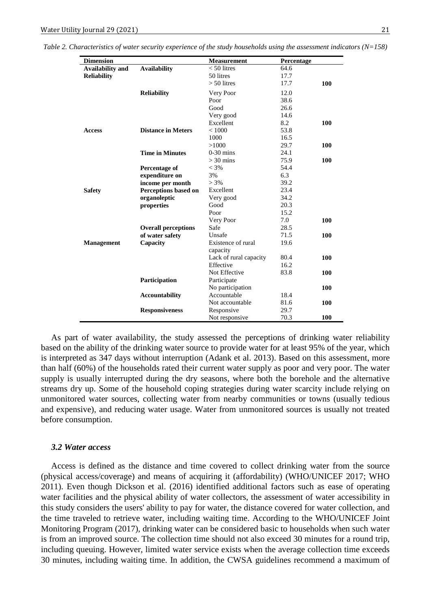*Table 2. Characteristics of water security experience of the study households using the assessment indicators (N=158)*

| <b>Dimension</b>        |                            | <b>Measurement</b>             | Percentage |            |
|-------------------------|----------------------------|--------------------------------|------------|------------|
| <b>Availability and</b> | <b>Availability</b>        | $< 50$ litres                  | 64.6       |            |
| <b>Reliability</b>      |                            | 50 litres                      | 17.7       |            |
|                         |                            | $> 50$ litres                  | 17.7       | 100        |
|                         | <b>Reliability</b>         | Very Poor                      | 12.0       |            |
|                         |                            | Poor                           | 38.6       |            |
|                         |                            | Good                           | 26.6       |            |
|                         |                            | Very good                      | 14.6       |            |
|                         |                            | Excellent                      | 8.2        | 100        |
| <b>Access</b>           | <b>Distance in Meters</b>  | < 1000                         | 53.8       |            |
|                         |                            | 1000                           | 16.5       |            |
|                         |                            | >1000                          | 29.7       | <b>100</b> |
|                         | <b>Time in Minutes</b>     | $0-30$ mins                    | 24.1       |            |
|                         |                            | $>$ 30 mins                    | 75.9       | 100        |
|                         | <b>Percentage of</b>       | $< 3\%$                        | 54.4       |            |
|                         | expenditure on             | 3%                             | 6.3        |            |
|                         | income per month           | $> 3\%$                        | 39.2       |            |
| <b>Safety</b>           | Perceptions based on       | Excellent                      | 23.4       |            |
|                         | organoleptic               | Very good                      | 34.2       |            |
|                         | properties                 | Good                           | 20.3       |            |
|                         |                            | Poor                           | 15.2       |            |
|                         |                            | Very Poor                      | 7.0        | 100        |
|                         | <b>Overall perceptions</b> | Safe                           | 28.5       |            |
|                         | of water safety            | Unsafe                         | 71.5       | 100        |
| <b>Management</b>       | Capacity                   | Existence of rural<br>capacity | 19.6       |            |
|                         |                            | Lack of rural capacity         | 80.4       | 100        |
|                         |                            | Effective                      | 16.2       |            |
|                         |                            | Not Effective                  | 83.8       | <b>100</b> |
|                         | Participation              | Participate                    |            |            |
|                         |                            | No participation               |            | 100        |
|                         | <b>Accountability</b>      | Accountable                    | 18.4       |            |
|                         |                            | Not accountable                | 81.6       | 100        |
|                         | <b>Responsiveness</b>      | Responsive                     | 29.7       |            |
|                         |                            | Not responsive                 | 70.3       | 100        |

As part of water availability, the study assessed the perceptions of drinking water reliability based on the ability of the drinking water source to provide water for at least 95% of the year, which is interpreted as 347 days without interruption (Adank et al. 2013). Based on this assessment, more than half (60%) of the households rated their current water supply as poor and very poor. The water supply is usually interrupted during the dry seasons, where both the borehole and the alternative streams dry up. Some of the household coping strategies during water scarcity include relying on unmonitored water sources, collecting water from nearby communities or towns (usually tedious and expensive), and reducing water usage. Water from unmonitored sources is usually not treated before consumption.

#### *3.2 Water access*

Access is defined as the distance and time covered to collect drinking water from the source (physical access/coverage) and means of acquiring it (affordability) (WHO/UNICEF 2017; WHO 2011). Even though Dickson et al. (2016) identified additional factors such as ease of operating water facilities and the physical ability of water collectors, the assessment of water accessibility in this study considers the users' ability to pay for water, the distance covered for water collection, and the time traveled to retrieve water, including waiting time. According to the WHO/UNICEF Joint Monitoring Program (2017), drinking water can be considered basic to households when such water is from an improved source. The collection time should not also exceed 30 minutes for a round trip, including queuing. However, limited water service exists when the average collection time exceeds 30 minutes, including waiting time. In addition, the CWSA guidelines recommend a maximum of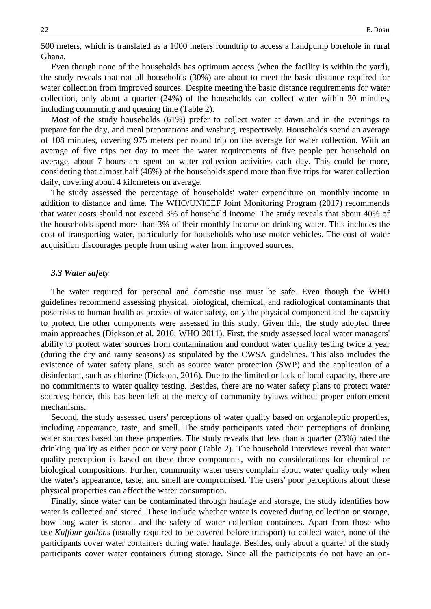500 meters, which is translated as a 1000 meters roundtrip to access a handpump borehole in rural Ghana.

Even though none of the households has optimum access (when the facility is within the yard), the study reveals that not all households (30%) are about to meet the basic distance required for water collection from improved sources. Despite meeting the basic distance requirements for water collection, only about a quarter (24%) of the households can collect water within 30 minutes, including commuting and queuing time (Table 2).

Most of the study households (61%) prefer to collect water at dawn and in the evenings to prepare for the day, and meal preparations and washing, respectively. Households spend an average of 108 minutes, covering 975 meters per round trip on the average for water collection. With an average of five trips per day to meet the water requirements of five people per household on average, about 7 hours are spent on water collection activities each day. This could be more, considering that almost half (46%) of the households spend more than five trips for water collection daily, covering about 4 kilometers on average.

The study assessed the percentage of households' water expenditure on monthly income in addition to distance and time. The WHO/UNICEF Joint Monitoring Program (2017) recommends that water costs should not exceed 3% of household income. The study reveals that about 40% of the households spend more than 3% of their monthly income on drinking water. This includes the cost of transporting water, particularly for households who use motor vehicles. The cost of water acquisition discourages people from using water from improved sources.

#### *3.3 Water safety*

The water required for personal and domestic use must be safe. Even though the WHO guidelines recommend assessing physical, biological, chemical, and radiological contaminants that pose risks to human health as proxies of water safety, only the physical component and the capacity to protect the other components were assessed in this study. Given this, the study adopted three main approaches (Dickson et al. 2016; WHO 2011). First, the study assessed local water managers' ability to protect water sources from contamination and conduct water quality testing twice a year (during the dry and rainy seasons) as stipulated by the CWSA guidelines. This also includes the existence of water safety plans, such as source water protection (SWP) and the application of a disinfectant, such as chlorine (Dickson, 2016). Due to the limited or lack of local capacity, there are no commitments to water quality testing. Besides, there are no water safety plans to protect water sources; hence, this has been left at the mercy of community bylaws without proper enforcement mechanisms.

Second, the study assessed users' perceptions of water quality based on organoleptic properties, including appearance, taste, and smell. The study participants rated their perceptions of drinking water sources based on these properties. The study reveals that less than a quarter (23%) rated the drinking quality as either poor or very poor (Table 2). The household interviews reveal that water quality perception is based on these three components, with no considerations for chemical or biological compositions. Further, community water users complain about water quality only when the water's appearance, taste, and smell are compromised. The users' poor perceptions about these physical properties can affect the water consumption.

Finally, since water can be contaminated through haulage and storage, the study identifies how water is collected and stored. These include whether water is covered during collection or storage, how long water is stored, and the safety of water collection containers. Apart from those who use *Kuffour gallons* (usually required to be covered before transport) to collect water, none of the participants cover water containers during water haulage. Besides, only about a quarter of the study participants cover water containers during storage. Since all the participants do not have an on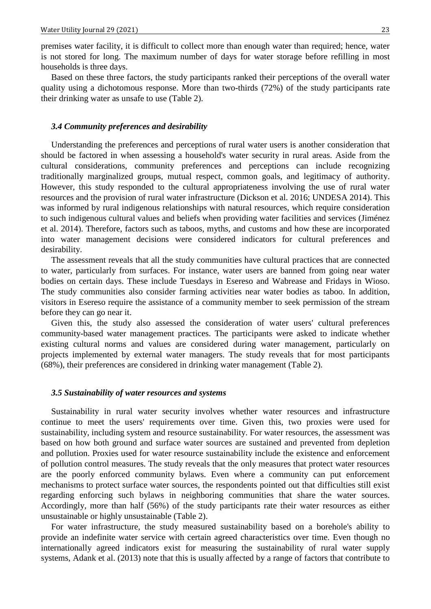premises water facility, it is difficult to collect more than enough water than required; hence, water is not stored for long. The maximum number of days for water storage before refilling in most households is three days.

Based on these three factors, the study participants ranked their perceptions of the overall water quality using a dichotomous response. More than two-thirds (72%) of the study participants rate their drinking water as unsafe to use (Table 2).

#### *3.4 Community preferences and desirability*

Understanding the preferences and perceptions of rural water users is another consideration that should be factored in when assessing a household's water security in rural areas. Aside from the cultural considerations, community preferences and perceptions can include recognizing traditionally marginalized groups, mutual respect, common goals, and legitimacy of authority. However, this study responded to the cultural appropriateness involving the use of rural water resources and the provision of rural water infrastructure (Dickson et al. 2016; UNDESA 2014). This was informed by rural indigenous relationships with natural resources, which require consideration to such indigenous cultural values and beliefs when providing water facilities and services (Jiménez et al. 2014). Therefore, factors such as taboos, myths, and customs and how these are incorporated into water management decisions were considered indicators for cultural preferences and desirability.

The assessment reveals that all the study communities have cultural practices that are connected to water, particularly from surfaces. For instance, water users are banned from going near water bodies on certain days. These include Tuesdays in Esereso and Wabrease and Fridays in Wioso. The study communities also consider farming activities near water bodies as taboo. In addition, visitors in Esereso require the assistance of a community member to seek permission of the stream before they can go near it.

Given this, the study also assessed the consideration of water users' cultural preferences community-based water management practices. The participants were asked to indicate whether existing cultural norms and values are considered during water management, particularly on projects implemented by external water managers. The study reveals that for most participants (68%), their preferences are considered in drinking water management (Table 2).

#### *3.5 Sustainability of water resources and systems*

Sustainability in rural water security involves whether water resources and infrastructure continue to meet the users' requirements over time. Given this, two proxies were used for sustainability, including system and resource sustainability. For water resources, the assessment was based on how both ground and surface water sources are sustained and prevented from depletion and pollution. Proxies used for water resource sustainability include the existence and enforcement of pollution control measures. The study reveals that the only measures that protect water resources are the poorly enforced community bylaws. Even where a community can put enforcement mechanisms to protect surface water sources, the respondents pointed out that difficulties still exist regarding enforcing such bylaws in neighboring communities that share the water sources. Accordingly, more than half (56%) of the study participants rate their water resources as either unsustainable or highly unsustainable (Table 2).

For water infrastructure, the study measured sustainability based on a borehole's ability to provide an indefinite water service with certain agreed characteristics over time. Even though no internationally agreed indicators exist for measuring the sustainability of rural water supply systems, Adank et al. (2013) note that this is usually affected by a range of factors that contribute to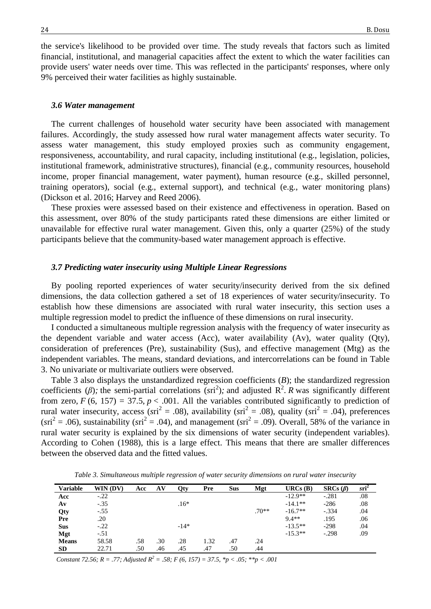the service's likelihood to be provided over time. The study reveals that factors such as limited financial, institutional, and managerial capacities affect the extent to which the water facilities can provide users' water needs over time. This was reflected in the participants' responses, where only 9% perceived their water facilities as highly sustainable.

#### *3.6 Water management*

The current challenges of household water security have been associated with management failures. Accordingly, the study assessed how rural water management affects water security. To assess water management, this study employed proxies such as community engagement, responsiveness, accountability, and rural capacity, including institutional (e.g., legislation, policies, institutional framework, administrative structures), financial (e.g., community resources, household income, proper financial management, water payment), human resource (e.g., skilled personnel, training operators), social (e.g., external support), and technical (e.g., water monitoring plans) (Dickson et al. 2016; Harvey and Reed 2006).

These proxies were assessed based on their existence and effectiveness in operation. Based on this assessment, over 80% of the study participants rated these dimensions are either limited or unavailable for effective rural water management. Given this, only a quarter (25%) of the study participants believe that the community-based water management approach is effective.

#### *3.7 Predicting water insecurity using Multiple Linear Regressions*

By pooling reported experiences of water security/insecurity derived from the six defined dimensions, the data collection gathered a set of 18 experiences of water security/insecurity. To establish how these dimensions are associated with rural water insecurity, this section uses a multiple regression model to predict the influence of these dimensions on rural insecurity.

I conducted a simultaneous multiple regression analysis with the frequency of water insecurity as the dependent variable and water access (Acc), water availability (Av), water quality (Qty), consideration of preferences (Pre), sustainability (Sus), and effective management (Mtg) as the independent variables. The means, standard deviations, and intercorrelations can be found in Table 3. No univariate or multivariate outliers were observed.

Table 3 also displays the unstandardized regression coefficients (*B*); the standardized regression coefficients ( $\beta$ ); the semi-partial correlations ( $\text{sri}^2$ ); and adjusted R<sup>2</sup>. *R* was significantly different from zero,  $F(6, 157) = 37.5$ ,  $p < .001$ . All the variables contributed significantly to prediction of rural water insecurity, access ( $sri^2 = .08$ ), availability ( $sri^2 = .08$ ), quality ( $sri^2 = .04$ ), preferences  $(sri^2 = .06)$ , sustainability  $(sri^2 = .04)$ , and management  $(sri^2 = .09)$ . Overall, 58% of the variance in rural water security is explained by the six dimensions of water security (independent variables). According to Cohen (1988), this is a large effect. This means that there are smaller differences between the observed data and the fitted values.

| <b>Variable</b> | WIN (DV) | Acc | AV  | Otv    | Pre  | <b>Sus</b> | Mgt     | URCs(B)   | $SRCs(\beta)$ | $sri^2$ |
|-----------------|----------|-----|-----|--------|------|------------|---------|-----------|---------------|---------|
| Acc             | $-.22$   |     |     |        |      |            |         | $-12.9**$ | $-.281$       | .08     |
| $A\mathbf{v}$   | $-.35$   |     |     | $.16*$ |      |            |         | $-14.1**$ | $-286$        | .08     |
| Qty             | $-.55$   |     |     |        |      |            | $.70**$ | $-16.7**$ | $-.334$       | .04     |
| Pre             | .20      |     |     |        |      |            |         | $9.4**$   | .195          | .06     |
| <b>Sus</b>      | $-.22$   |     |     | $-14*$ |      |            |         | $-13.5**$ | $-298$        | .04     |
| Mgt             | $-.51$   |     |     |        |      |            |         | $-15.3**$ | $-.298$       | .09     |
| <b>Means</b>    | 58.58    | .58 | .30 | .28    | 1.32 | .47        | .24     |           |               |         |
| <b>SD</b>       | 22.71    | .50 | .46 | .45    | .47  | .50        | .44     |           |               |         |

*Table 3. Simultaneous multiple regression of water security dimensions on rural water insecurity*

*Constant 72.56; R = .77; Adjusted R<sup>2</sup> = .58; F (6, 157) = 37.5, \*p < .05; \*\*p < .001*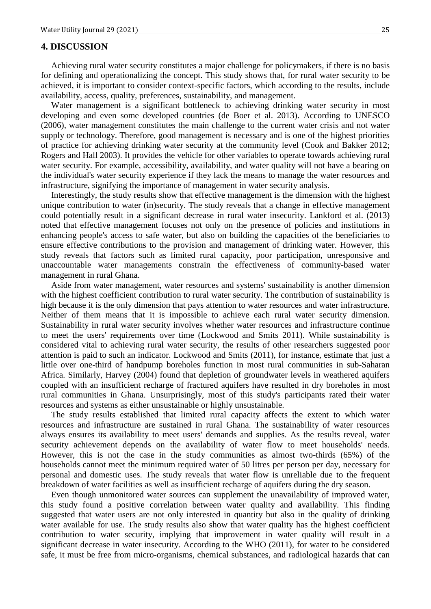### **4. DISCUSSION**

Achieving rural water security constitutes a major challenge for policymakers, if there is no basis for defining and operationalizing the concept. This study shows that, for rural water security to be achieved, it is important to consider context-specific factors, which according to the results, include availability, access, quality, preferences, sustainability, and management.

Water management is a significant bottleneck to achieving drinking water security in most developing and even some developed countries (de Boer et al. 2013). According to UNESCO (2006), water management constitutes the main challenge to the current water crisis and not water supply or technology. Therefore, good management is necessary and is one of the highest priorities of practice for achieving drinking water security at the community level (Cook and Bakker 2012; Rogers and Hall 2003). It provides the vehicle for other variables to operate towards achieving rural water security. For example, accessibility, availability, and water quality will not have a bearing on the individual's water security experience if they lack the means to manage the water resources and infrastructure, signifying the importance of management in water security analysis.

Interestingly, the study results show that effective management is the dimension with the highest unique contribution to water (in)security. The study reveals that a change in effective management could potentially result in a significant decrease in rural water insecurity. Lankford et al. (2013) noted that effective management focuses not only on the presence of policies and institutions in enhancing people's access to safe water, but also on building the capacities of the beneficiaries to ensure effective contributions to the provision and management of drinking water. However, this study reveals that factors such as limited rural capacity, poor participation, unresponsive and unaccountable water managements constrain the effectiveness of community-based water management in rural Ghana.

Aside from water management, water resources and systems' sustainability is another dimension with the highest coefficient contribution to rural water security. The contribution of sustainability is high because it is the only dimension that pays attention to water resources and water infrastructure. Neither of them means that it is impossible to achieve each rural water security dimension. Sustainability in rural water security involves whether water resources and infrastructure continue to meet the users' requirements over time (Lockwood and Smits 2011). While sustainability is considered vital to achieving rural water security, the results of other researchers suggested poor attention is paid to such an indicator. Lockwood and Smits (2011), for instance, estimate that just a little over one-third of handpump boreholes function in most rural communities in sub-Saharan Africa. Similarly, Harvey (2004) found that depletion of groundwater levels in weathered aquifers coupled with an insufficient recharge of fractured aquifers have resulted in dry boreholes in most rural communities in Ghana. Unsurprisingly, most of this study's participants rated their water resources and systems as either unsustainable or highly unsustainable.

The study results established that limited rural capacity affects the extent to which water resources and infrastructure are sustained in rural Ghana. The sustainability of water resources always ensures its availability to meet users' demands and supplies. As the results reveal, water security achievement depends on the availability of water flow to meet households' needs. However, this is not the case in the study communities as almost two-thirds (65%) of the households cannot meet the minimum required water of 50 litres per person per day, necessary for personal and domestic uses. The study reveals that water flow is unreliable due to the frequent breakdown of water facilities as well as insufficient recharge of aquifers during the dry season.

Even though unmonitored water sources can supplement the unavailability of improved water, this study found a positive correlation between water quality and availability. This finding suggested that water users are not only interested in quantity but also in the quality of drinking water available for use. The study results also show that water quality has the highest coefficient contribution to water security, implying that improvement in water quality will result in a significant decrease in water insecurity. According to the WHO (2011), for water to be considered safe, it must be free from micro-organisms, chemical substances, and radiological hazards that can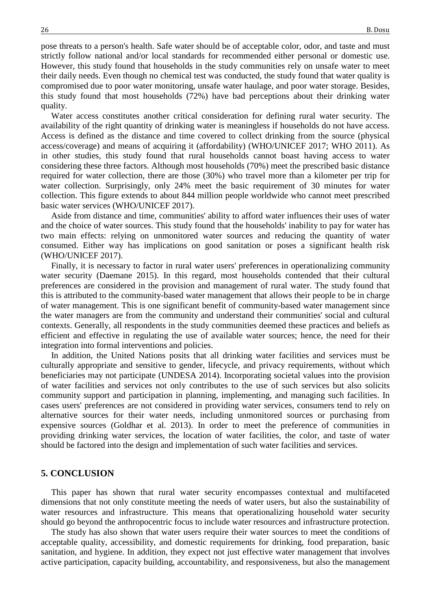pose threats to a person's health. Safe water should be of acceptable color, odor, and taste and must strictly follow national and/or local standards for recommended either personal or domestic use. However, this study found that households in the study communities rely on unsafe water to meet their daily needs. Even though no chemical test was conducted, the study found that water quality is compromised due to poor water monitoring, unsafe water haulage, and poor water storage. Besides, this study found that most households (72%) have bad perceptions about their drinking water quality.

Water access constitutes another critical consideration for defining rural water security. The availability of the right quantity of drinking water is meaningless if households do not have access. Access is defined as the distance and time covered to collect drinking from the source (physical access/coverage) and means of acquiring it (affordability) (WHO/UNICEF 2017; WHO 2011). As in other studies, this study found that rural households cannot boast having access to water considering these three factors. Although most households (70%) meet the prescribed basic distance required for water collection, there are those (30%) who travel more than a kilometer per trip for water collection. Surprisingly, only 24% meet the basic requirement of 30 minutes for water collection. This figure extends to about 844 million people worldwide who cannot meet prescribed basic water services (WHO/UNICEF 2017).

Aside from distance and time, communities' ability to afford water influences their uses of water and the choice of water sources. This study found that the households' inability to pay for water has two main effects: relying on unmonitored water sources and reducing the quantity of water consumed. Either way has implications on good sanitation or poses a significant health risk (WHO/UNICEF 2017).

Finally, it is necessary to factor in rural water users' preferences in operationalizing community water security (Daemane 2015). In this regard, most households contended that their cultural preferences are considered in the provision and management of rural water. The study found that this is attributed to the community-based water management that allows their people to be in charge of water management. This is one significant benefit of community-based water management since the water managers are from the community and understand their communities' social and cultural contexts. Generally, all respondents in the study communities deemed these practices and beliefs as efficient and effective in regulating the use of available water sources; hence, the need for their integration into formal interventions and policies.

In addition, the United Nations posits that all drinking water facilities and services must be culturally appropriate and sensitive to gender, lifecycle, and privacy requirements, without which beneficiaries may not participate (UNDESA 2014). Incorporating societal values into the provision of water facilities and services not only contributes to the use of such services but also solicits community support and participation in planning, implementing, and managing such facilities. In cases users' preferences are not considered in providing water services, consumers tend to rely on alternative sources for their water needs, including unmonitored sources or purchasing from expensive sources (Goldhar et al. 2013). In order to meet the preference of communities in providing drinking water services, the location of water facilities, the color, and taste of water should be factored into the design and implementation of such water facilities and services.

## **5. CONCLUSION**

This paper has shown that rural water security encompasses contextual and multifaceted dimensions that not only constitute meeting the needs of water users, but also the sustainability of water resources and infrastructure. This means that operationalizing household water security should go beyond the anthropocentric focus to include water resources and infrastructure protection.

The study has also shown that water users require their water sources to meet the conditions of acceptable quality, accessibility, and domestic requirements for drinking, food preparation, basic sanitation, and hygiene. In addition, they expect not just effective water management that involves active participation, capacity building, accountability, and responsiveness, but also the management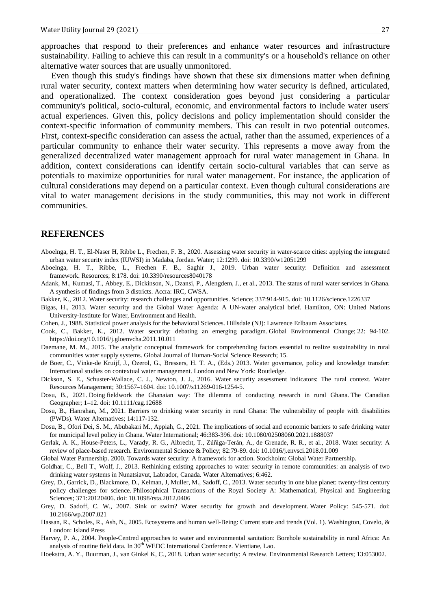approaches that respond to their preferences and enhance water resources and infrastructure sustainability. Failing to achieve this can result in a community's or a household's reliance on other alternative water sources that are usually unmonitored.

Even though this study's findings have shown that these six dimensions matter when defining rural water security, context matters when determining how water security is defined, articulated, and operationalized. The context consideration goes beyond just considering a particular community's political, socio-cultural, economic, and environmental factors to include water users' actual experiences. Given this, policy decisions and policy implementation should consider the context-specific information of community members. This can result in two potential outcomes. First, context-specific consideration can assess the actual, rather than the assumed, experiences of a particular community to enhance their water security. This represents a move away from the generalized decentralized water management approach for rural water management in Ghana. In addition, context considerations can identify certain socio-cultural variables that can serve as potentials to maximize opportunities for rural water management. For instance, the application of cultural considerations may depend on a particular context. Even though cultural considerations are vital to water management decisions in the study communities, this may not work in different communities.

# **REFERENCES**

- Aboelnga, H. T., El-Naser H, Ribbe L., Frechen, F. B., 2020. Assessing water security in water-scarce cities: applying the integrated urban water security index (IUWSI) in Madaba, Jordan. Water; 12:1299. [doi: 10.3390/w12051299](https://doi.org/10.3390/w12051299)
- Aboelnga, H. T., Ribbe, L., Frechen F. B., Saghir J., 2019. Urban water security: Definition and assessment framework. Resources; 8:178. doi: 10.3390/resources8040178
- Adank, M., Kumasi, T., Abbey, E., Dickinson, N., Dzansi, P., Alengdem, J., et al., 2013. The status of rural water services in Ghana. A synthesis of findings from 3 districts. Accra: IRC, CWSA.
- Bakker, K., 2012. Water security: research challenges and opportunities. Science; 337:914-915. doi: 10.1126/science.1226337
- Bigas, H., 2013. Water security and the Global Water Agenda: A UN-water analytical brief. Hamilton, ON: United Nations University-Institute for Water, Environment and Health.
- Cohen, J., 1988. Statistical power analysis for the behavioral Sciences. Hillsdale (NJ): Lawrence Erlbaum Associates.
- Cook, C., Bakker, K., 2012. Water security: debating an emerging paradigm. Global Environmental Change; 22: 94-102. <https://doi.org/10.1016/j.gloenvcha.2011.10.011>
- Daemane, M. M., 2015. The analytic conceptual framework for comprehending factors essential to realize sustainability in rural communities water supply systems. Global Journal of Human-Social Science Research; 15.
- de Boer, C., Vinke-de Kruijf, J., Özerol, G., Bressers, H. T. A., (Eds.) 2013. Water governance, policy and knowledge transfer: International studies on contextual water management. London and New York: Routledge.
- Dickson, S. E., Schuster-Wallace, C. J., Newton, J. J., 2016. Water security assessment indicators: The rural context. Water Resources Management; 30:1567–1604. doi: 10.1007/s11269-016-1254-5.
- Dosu, B., 2021. Doing fieldwork the Ghanaian way: The dilemma of conducting research in rural Ghana. The Canadian Geographer; 1–12. doi: [10.1111/cag.12688](http://doi.org/10.1111/cag.12688)
- Dosu, B., Hanrahan, M., 2021. Barriers to drinking water security in rural Ghana: The vulnerability of people with disabilities (PWDs). Water Alternatives; 14:117-132.
- Dosu, B., Ofori Dei, S. M., Abubakari M., Appiah, G., 2021. The implications of social and economic barriers to safe drinking water for municipal level policy in Ghana. Water International; 46:383-396. doi: [10.1080/02508060.2021.1888037](https://doi.org/10.1080/02508060.2021.1888037)
- Gerlak, A. K., House-Peters, L., Varady, R. G., Albrecht, T., Zúñiga-Terán, A., de Grenade, R. R., et al., 2018. Water security: A review of place-based research. Environmental Science & Policy; 82:79-89[. doi: 10.1016/j.envsci.2018.01.009](https://doi.org/10.1016/j.envsci.2018.01.009)
- Global Water Partnership. 2000. Towards water security: A framework for action. Stockholm: Global Water Partnership.
- Goldhar, C., Bell T., Wolf, J., 2013. Rethinking existing approaches to water security in remote communities: an analysis of two drinking water systems in Nunatsiavut, Labrador, Canada. Water Alternatives; 6:462.
- Grey, D., Garrick, D., Blackmore, D., Kelman, J, Muller, M., Sadoff, C., 2013. Water security in one blue planet: twenty-first century policy challenges for science. Philosophical Transactions of the Royal Society A: Mathematical, Physical and Engineering Sciences; 371:20120406. doi: 10.1098/rsta.2012.0406
- Grey, D. Sadoff, C. W., 2007. Sink or swim? Water security for growth and development. Water Policy: 545-571. [doi:](https://doi.org/10.2166/wp.2007.021) [10.2166/wp.2007.021](https://doi.org/10.2166/wp.2007.021)
- Hassan, R., Scholes, R., Ash, N., 2005. Ecosystems and human well-Being: Current state and trends (Vol. 1). Washington, Covelo, & London: Island Press
- Harvey, P. A., 2004. People-Centred approaches to water and environmental sanitation: Borehole sustainability in rural Africa: An analysis of routine field data. In 30<sup>th</sup> WEDC International Conference. Vientiane, Lao.
- Hoekstra, A. Y., Buurman, J., van Ginkel K, C., 2018. Urban water security: A review. Environmental Research Letters; 13:053002.